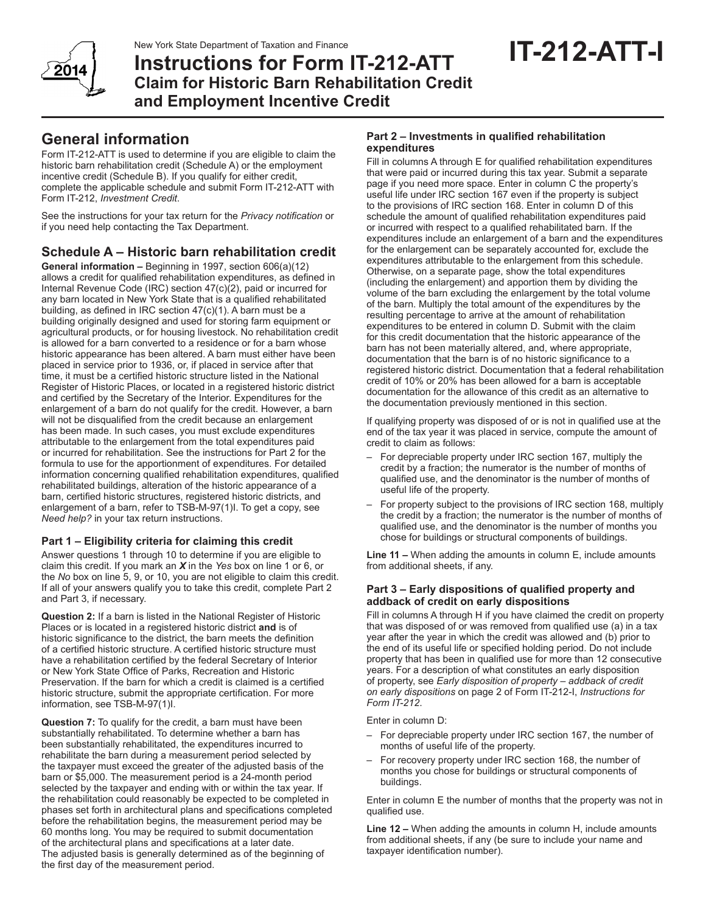

**Instructions for Form IT-212-ATT Claim for Historic Barn Rehabilitation Credit and Employment Incentive Credit**

# **General information**

Form IT‑212‑ATT is used to determine if you are eligible to claim the historic barn rehabilitation credit (Schedule A) or the employment incentive credit (Schedule B). If you qualify for either credit, complete the applicable schedule and submit Form IT‑212‑ATT with Form IT‑212, *Investment Credit*.

See the instructions for your tax return for the *Privacy notification* or if you need help contacting the Tax Department.

## **Schedule A – Historic barn rehabilitation credit**

**General information –** Beginning in 1997, section 606(a)(12) allows a credit for qualified rehabilitation expenditures, as defined in Internal Revenue Code (IRC) section 47(c)(2), paid or incurred for any barn located in New York State that is a qualified rehabilitated building, as defined in IRC section 47(c)(1). A barn must be a building originally designed and used for storing farm equipment or agricultural products, or for housing livestock. No rehabilitation credit is allowed for a barn converted to a residence or for a barn whose historic appearance has been altered. A barn must either have been placed in service prior to 1936, or, if placed in service after that time, it must be a certified historic structure listed in the National Register of Historic Places, or located in a registered historic district and certified by the Secretary of the Interior. Expenditures for the enlargement of a barn do not qualify for the credit. However, a barn will not be disqualified from the credit because an enlargement has been made. In such cases, you must exclude expenditures attributable to the enlargement from the total expenditures paid or incurred for rehabilitation. See the instructions for Part 2 for the formula to use for the apportionment of expenditures. For detailed information concerning qualified rehabilitation expenditures, qualified rehabilitated buildings, alteration of the historic appearance of a barn, certified historic structures, registered historic districts, and enlargement of a barn, refer to TSB-M-97(1)l. To get a copy, see *Need help?* in your tax return instructions.

## **Part 1 – Eligibility criteria for claiming this credit**

Answer questions 1 through 10 to determine if you are eligible to claim this credit. If you mark an *X* in the *Yes* box on line 1 or 6, or the *No* box on line 5, 9, or 10, you are not eligible to claim this credit. If all of your answers qualify you to take this credit, complete Part 2 and Part 3, if necessary.

**Question 2:** If a barn is listed in the National Register of Historic Places or is located in a registered historic district **and** is of historic significance to the district, the barn meets the definition of a certified historic structure. A certified historic structure must have a rehabilitation certified by the federal Secretary of Interior or New York State Office of Parks, Recreation and Historic Preservation. If the barn for which a credit is claimed is a certified historic structure, submit the appropriate certification. For more information, see TSB‑M‑97(1)I.

**Question 7:** To qualify for the credit, a barn must have been substantially rehabilitated. To determine whether a barn has been substantially rehabilitated, the expenditures incurred to rehabilitate the barn during a measurement period selected by the taxpayer must exceed the greater of the adjusted basis of the barn or \$5,000. The measurement period is a 24‑month period selected by the taxpayer and ending with or within the tax year. If the rehabilitation could reasonably be expected to be completed in phases set forth in architectural plans and specifications completed before the rehabilitation begins, the measurement period may be 60 months long. You may be required to submit documentation of the architectural plans and specifications at a later date. The adjusted basis is generally determined as of the beginning of the first day of the measurement period.

#### **Part 2 – Investments in qualified rehabilitation expenditures**

Fill in columns A through E for qualified rehabilitation expenditures that were paid or incurred during this tax year. Submit a separate page if you need more space. Enter in column C the property's useful life under IRC section 167 even if the property is subject to the provisions of IRC section 168. Enter in column D of this schedule the amount of qualified rehabilitation expenditures paid or incurred with respect to a qualified rehabilitated barn. If the expenditures include an enlargement of a barn and the expenditures for the enlargement can be separately accounted for, exclude the expenditures attributable to the enlargement from this schedule. Otherwise, on a separate page, show the total expenditures (including the enlargement) and apportion them by dividing the volume of the barn excluding the enlargement by the total volume of the barn. Multiply the total amount of the expenditures by the resulting percentage to arrive at the amount of rehabilitation expenditures to be entered in column D. Submit with the claim for this credit documentation that the historic appearance of the barn has not been materially altered, and, where appropriate, documentation that the barn is of no historic significance to a registered historic district. Documentation that a federal rehabilitation credit of 10% or 20% has been allowed for a barn is acceptable documentation for the allowance of this credit as an alternative to the documentation previously mentioned in this section.

If qualifying property was disposed of or is not in qualified use at the end of the tax year it was placed in service, compute the amount of credit to claim as follows:

- For depreciable property under IRC section 167, multiply the credit by a fraction; the numerator is the number of months of qualified use, and the denominator is the number of months of useful life of the property.
- For property subject to the provisions of IRC section 168, multiply the credit by a fraction; the numerator is the number of months of qualified use, and the denominator is the number of months you chose for buildings or structural components of buildings.

**Line 11 –** When adding the amounts in column E, include amounts from additional sheets, if any.

#### **Part 3 – Early dispositions of qualified property and addback of credit on early dispositions**

Fill in columns A through H if you have claimed the credit on property that was disposed of or was removed from qualified use (a) in a tax year after the year in which the credit was allowed and (b) prior to the end of its useful life or specified holding period. Do not include property that has been in qualified use for more than 12 consecutive years. For a description of what constitutes an early disposition of property, see *Early disposition of property – addback of credit on early dispositions* on page 2 of Form IT‑212‑I, *Instructions for Form IT-212*.

Enter in column D:

- For depreciable property under IRC section 167, the number of months of useful life of the property.
- For recovery property under IRC section 168, the number of months you chose for buildings or structural components of buildings.

Enter in column E the number of months that the property was not in qualified use.

**Line 12 –** When adding the amounts in column H, include amounts from additional sheets, if any (be sure to include your name and taxpayer identification number).